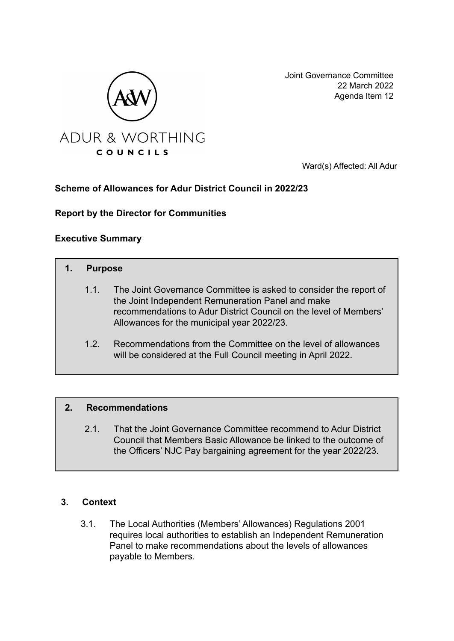

Joint Governance Committee 22 March 2022 Agenda Item 12

Ward(s) Affected: All Adur

# **Scheme of Allowances for Adur District Council in 2022/23**

**Report by the Director for Communities**

## **Executive Summary**

# **1. Purpose**

- 1.1. The Joint Governance Committee is asked to consider the report of the Joint Independent Remuneration Panel and make recommendations to Adur District Council on the level of Members' Allowances for the municipal year 2022/23.
- 1.2. Recommendations from the Committee on the level of allowances will be considered at the Full Council meeting in April 2022.

### **2. Recommendations**

2.1. That the Joint Governance Committee recommend to Adur District Council that Members Basic Allowance be linked to the outcome of the Officers' NJC Pay bargaining agreement for the year 2022/23.

### **3. Context**

3.1. The Local Authorities (Members' Allowances) Regulations 2001 requires local authorities to establish an Independent Remuneration Panel to make recommendations about the levels of allowances payable to Members.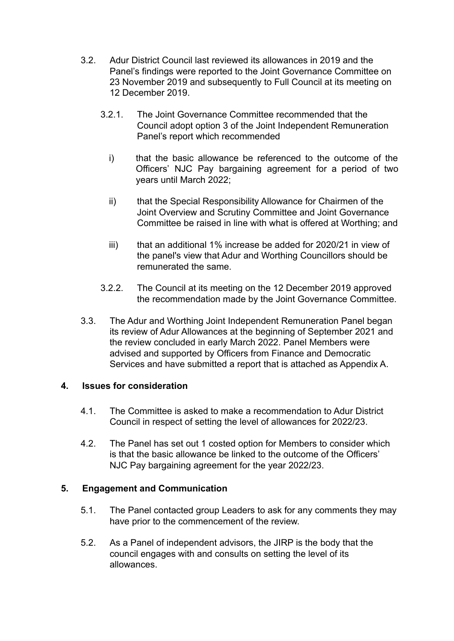- 3.2. Adur District Council last reviewed its allowances in 2019 and the Panel's findings were reported to the Joint Governance Committee on 23 November 2019 and subsequently to Full Council at its meeting on 12 December 2019.
	- 3.2.1. The Joint Governance Committee recommended that the Council adopt option 3 of the Joint Independent Remuneration Panel's report which recommended
		- i) that the basic allowance be referenced to the outcome of the Officers' NJC Pay bargaining agreement for a period of two years until March 2022;
		- ii) that the Special Responsibility Allowance for Chairmen of the Joint Overview and Scrutiny Committee and Joint Governance Committee be raised in line with what is offered at Worthing; and
		- iii) that an additional 1% increase be added for 2020/21 in view of the panel's view that Adur and Worthing Councillors should be remunerated the same.
	- 3.2.2. The Council at its meeting on the 12 December 2019 approved the recommendation made by the Joint Governance Committee.
- 3.3. The Adur and Worthing Joint Independent Remuneration Panel began its review of Adur Allowances at the beginning of September 2021 and the review concluded in early March 2022. Panel Members were advised and supported by Officers from Finance and Democratic Services and have submitted a report that is attached as Appendix A.

### **4. Issues for consideration**

- 4.1. The Committee is asked to make a recommendation to Adur District Council in respect of setting the level of allowances for 2022/23.
- 4.2. The Panel has set out 1 costed option for Members to consider which is that the basic allowance be linked to the outcome of the Officers' NJC Pay bargaining agreement for the year 2022/23.

# **5. Engagement and Communication**

- 5.1. The Panel contacted group Leaders to ask for any comments they may have prior to the commencement of the review.
- 5.2. As a Panel of independent advisors, the JIRP is the body that the council engages with and consults on setting the level of its allowances.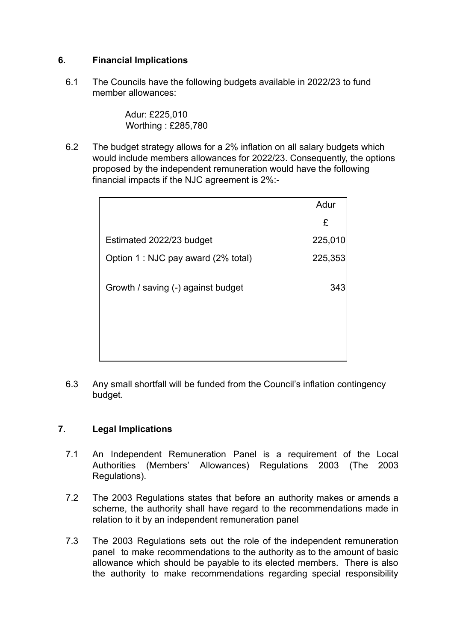# **6. Financial Implications**

6.1 The Councils have the following budgets available in 2022/23 to fund member allowances:

> Adur: £225,010 Worthing : £285,780

6.2 The budget strategy allows for a 2% inflation on all salary budgets which would include members allowances for 2022/23. Consequently, the options proposed by the independent remuneration would have the following financial impacts if the NJC agreement is 2%:-

|                                     | Adur    |
|-------------------------------------|---------|
|                                     | £       |
| Estimated 2022/23 budget            | 225,010 |
| Option 1 : NJC pay award (2% total) | 225,353 |
| Growth / saving (-) against budget  | 343     |
|                                     |         |
|                                     |         |

6.3 Any small shortfall will be funded from the Council's inflation contingency budget.

# **7. Legal Implications**

- 7.1 An Independent Remuneration Panel is a requirement of the Local Authorities (Members' Allowances) Regulations 2003 (The 2003 Regulations).
- 7.2 The 2003 Regulations states that before an authority makes or amends a scheme, the authority shall have regard to the recommendations made in relation to it by an independent remuneration panel
- 7.3 The 2003 Regulations sets out the role of the independent remuneration panel to make recommendations to the authority as to the amount of basic allowance which should be payable to its elected members. There is also the authority to make recommendations regarding special responsibility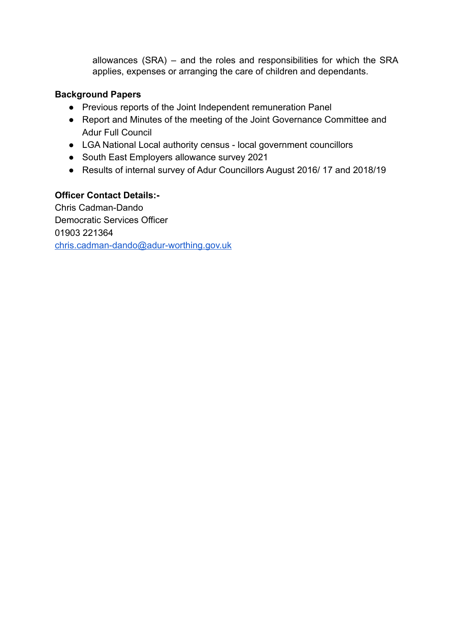allowances (SRA) – and the roles and responsibilities for which the SRA applies, expenses or arranging the care of children and dependants.

## **Background Papers**

- Previous reports of the Joint Independent remuneration Panel
- Report and Minutes of the meeting of the Joint Governance Committee and Adur Full Council
- LGA National Local authority census local government councillors
- South East Employers allowance survey 2021
- Results of internal survey of Adur Councillors August 2016/ 17 and 2018/19

# **Officer Contact Details:-**

Chris Cadman-Dando Democratic Services Officer 01903 221364 [chris.cadman-dando@adur-worthing.gov.uk](mailto:chris.cadman-dando@adur-worthing.gov.uk)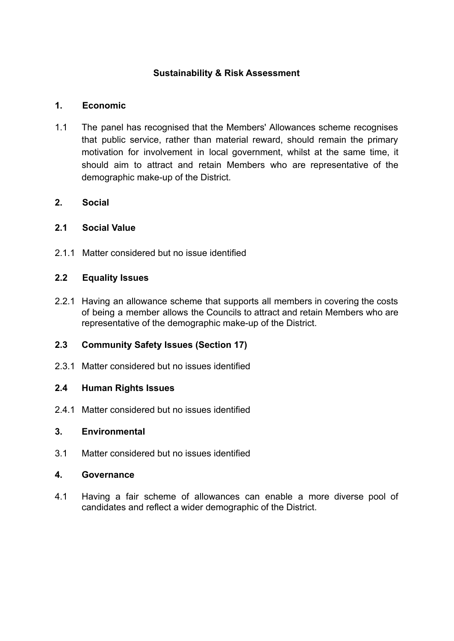# **Sustainability & Risk Assessment**

## **1. Economic**

1.1 The panel has recognised that the Members' Allowances scheme recognises that public service, rather than material reward, should remain the primary motivation for involvement in local government, whilst at the same time, it should aim to attract and retain Members who are representative of the demographic make-up of the District.

## **2. Social**

## **2.1 Social Value**

2.1.1 Matter considered but no issue identified

## **2.2 Equality Issues**

2.2.1 Having an allowance scheme that supports all members in covering the costs of being a member allows the Councils to attract and retain Members who are representative of the demographic make-up of the District.

# **2.3 Community Safety Issues (Section 17)**

2.3.1 Matter considered but no issues identified

### **2.4 Human Rights Issues**

2.4.1 Matter considered but no issues identified

## **3. Environmental**

3.1 Matter considered but no issues identified

### **4. Governance**

4.1 Having a fair scheme of allowances can enable a more diverse pool of candidates and reflect a wider demographic of the District.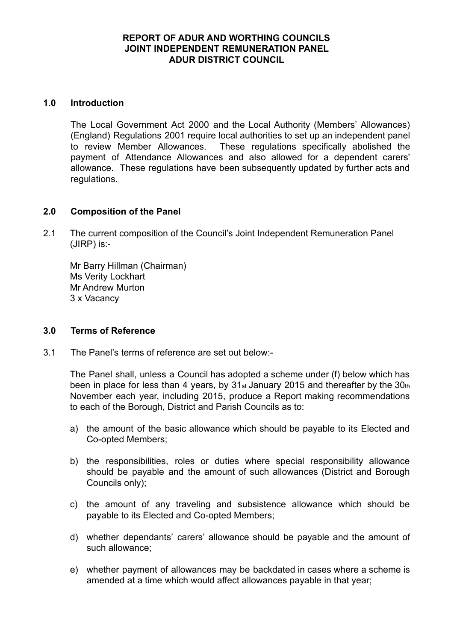### **REPORT OF ADUR AND WORTHING COUNCILS JOINT INDEPENDENT REMUNERATION PANEL ADUR DISTRICT COUNCIL**

#### **1.0 Introduction**

The Local Government Act 2000 and the Local Authority (Members' Allowances) (England) Regulations 2001 require local authorities to set up an independent panel to review Member Allowances. These regulations specifically abolished the payment of Attendance Allowances and also allowed for a dependent carers' allowance. These regulations have been subsequently updated by further acts and regulations.

#### **2.0 Composition of the Panel**

2.1 The current composition of the Council's Joint Independent Remuneration Panel (JIRP) is:-

Mr Barry Hillman (Chairman) Ms Verity Lockhart Mr Andrew Murton 3 x Vacancy

#### **3.0 Terms of Reference**

3.1 The Panel's terms of reference are set out below:-

The Panel shall, unless a Council has adopted a scheme under (f) below which has been in place for less than 4 years, by 31st January 2015 and thereafter by the 30th November each year, including 2015, produce a Report making recommendations to each of the Borough, District and Parish Councils as to:

- a) the amount of the basic allowance which should be payable to its Elected and Co-opted Members;
- b) the responsibilities, roles or duties where special responsibility allowance should be payable and the amount of such allowances (District and Borough Councils only);
- c) the amount of any traveling and subsistence allowance which should be payable to its Elected and Co-opted Members;
- d) whether dependants' carers' allowance should be payable and the amount of such allowance;
- e) whether payment of allowances may be backdated in cases where a scheme is amended at a time which would affect allowances payable in that year;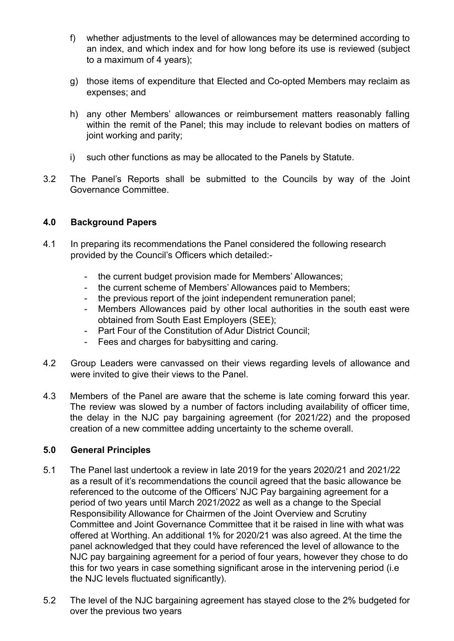- f) whether adjustments to the level of allowances may be determined according to an index, and which index and for how long before its use is reviewed (subject to a maximum of 4 years);
- g) those items of expenditure that Elected and Co-opted Members may reclaim as expenses; and
- h) any other Members' allowances or reimbursement matters reasonably falling within the remit of the Panel; this may include to relevant bodies on matters of joint working and parity;
- i) such other functions as may be allocated to the Panels by Statute.
- 3.2 The Panel's Reports shall be submitted to the Councils by way of the Joint Governance Committee.

## **4.0 Background Papers**

- 4.1 In preparing its recommendations the Panel considered the following research provided by the Council's Officers which detailed:
	- the current budget provision made for Members' Allowances;
	- the current scheme of Members' Allowances paid to Members;
	- the previous report of the joint independent remuneration panel:
	- Members Allowances paid by other local authorities in the south east were obtained from South East Employers (SEE);
	- Part Four of the Constitution of Adur District Council;
	- Fees and charges for babysitting and caring.
- 4.2 Group Leaders were canvassed on their views regarding levels of allowance and were invited to give their views to the Panel.
- 4.3 Members of the Panel are aware that the scheme is late coming forward this year. The review was slowed by a number of factors including availability of officer time, the delay in the NJC pay bargaining agreement (for 2021/22) and the proposed creation of a new committee adding uncertainty to the scheme overall.

### **5.0 General Principles**

- 5.1 The Panel last undertook a review in late 2019 for the years 2020/21 and 2021/22 as a result of it's recommendations the council agreed that the basic allowance be referenced to the outcome of the Officers' NJC Pay bargaining agreement for a period of two years until March 2021/2022 as well as a change to the Special Responsibility Allowance for Chairmen of the Joint Overview and Scrutiny Committee and Joint Governance Committee that it be raised in line with what was offered at Worthing. An additional 1% for 2020/21 was also agreed. At the time the panel acknowledged that they could have referenced the level of allowance to the NJC pay bargaining agreement for a period of four years, however they chose to do this for two years in case something significant arose in the intervening period (i.e the NJC levels fluctuated significantly).
- 5.2 The level of the NJC bargaining agreement has stayed close to the 2% budgeted for over the previous two years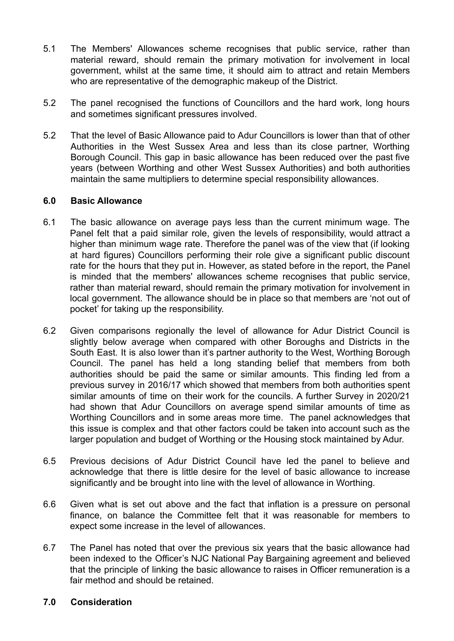- 5.1 The Members' Allowances scheme recognises that public service, rather than material reward, should remain the primary motivation for involvement in local government, whilst at the same time, it should aim to attract and retain Members who are representative of the demographic makeup of the District.
- 5.2 The panel recognised the functions of Councillors and the hard work, long hours and sometimes significant pressures involved.
- 5.2 That the level of Basic Allowance paid to Adur Councillors is lower than that of other Authorities in the West Sussex Area and less than its close partner, Worthing Borough Council. This gap in basic allowance has been reduced over the past five years (between Worthing and other West Sussex Authorities) and both authorities maintain the same multipliers to determine special responsibility allowances.

### **6.0 Basic Allowance**

- 6.1 The basic allowance on average pays less than the current minimum wage. The Panel felt that a paid similar role, given the levels of responsibility, would attract a higher than minimum wage rate. Therefore the panel was of the view that (if looking at hard figures) Councillors performing their role give a significant public discount rate for the hours that they put in. However, as stated before in the report, the Panel is minded that the members' allowances scheme recognises that public service, rather than material reward, should remain the primary motivation for involvement in local government. The allowance should be in place so that members are 'not out of pocket' for taking up the responsibility.
- 6.2 Given comparisons regionally the level of allowance for Adur District Council is slightly below average when compared with other Boroughs and Districts in the South East. It is also lower than it's partner authority to the West, Worthing Borough Council. The panel has held a long standing belief that members from both authorities should be paid the same or similar amounts. This finding led from a previous survey in 2016/17 which showed that members from both authorities spent similar amounts of time on their work for the councils. A further Survey in 2020/21 had shown that Adur Councillors on average spend similar amounts of time as Worthing Councillors and in some areas more time. The panel acknowledges that this issue is complex and that other factors could be taken into account such as the larger population and budget of Worthing or the Housing stock maintained by Adur.
- 6.5 Previous decisions of Adur District Council have led the panel to believe and acknowledge that there is little desire for the level of basic allowance to increase significantly and be brought into line with the level of allowance in Worthing.
- 6.6 Given what is set out above and the fact that inflation is a pressure on personal finance, on balance the Committee felt that it was reasonable for members to expect some increase in the level of allowances.
- 6.7 The Panel has noted that over the previous six years that the basic allowance had been indexed to the Officer's NJC National Pay Bargaining agreement and believed that the principle of linking the basic allowance to raises in Officer remuneration is a fair method and should be retained.

### **7.0 Consideration**